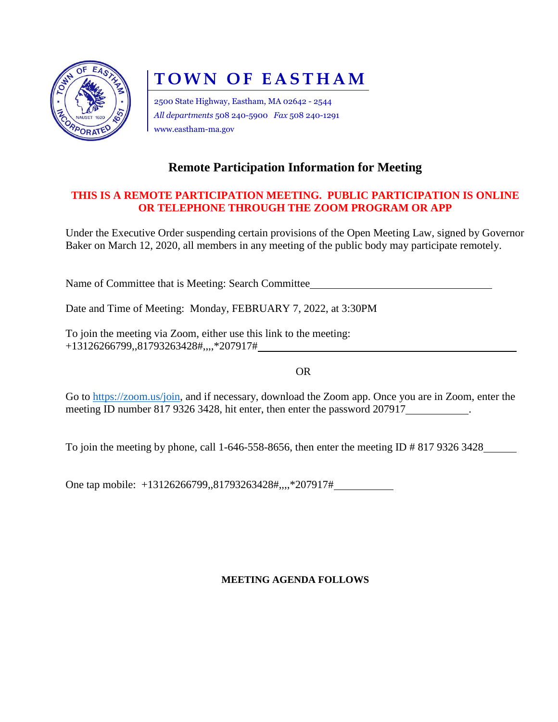

# **TOWN OF EASTHAM**

2500 State Highway, Eastham, MA 02642 - 2544 *All departments* 508 240-5900 *Fax* 508 240-1291 www.eastham-ma.gov

## **Remote Participation Information for Meeting**

### **THIS IS A REMOTE PARTICIPATION MEETING. PUBLIC PARTICIPATION IS ONLINE OR TELEPHONE THROUGH THE ZOOM PROGRAM OR APP**

Under the Executive Order suspending certain provisions of the Open Meeting Law, signed by Governor Baker on March 12, 2020, all members in any meeting of the public body may participate remotely.

Name of Committee that is Meeting: Search Committee

Date and Time of Meeting: Monday, FEBRUARY 7, 2022, at 3:30PM

To join the meeting via Zoom, either use this link to the meeting: +13126266799,,81793263428#,,,,\*207917#

OR

Go to [https://zoom.us/join,](https://zoom.us/join) and if necessary, download the Zoom app. Once you are in Zoom, enter the meeting ID number 817 9326 3428, hit enter, then enter the password 207917

To join the meeting by phone, call 1-646-558-8656, then enter the meeting ID # 817 9326 3428

One tap mobile: +13126266799,,81793263428#,,,,\*207917#

#### **MEETING AGENDA FOLLOWS**